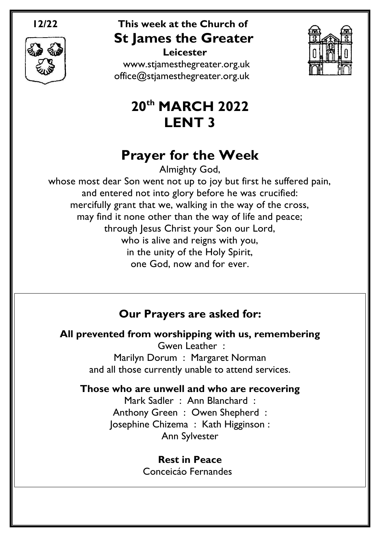

## **12/22 This week at the Church of St James the Greater Leicester**

[www.stjamesthegreater.org.uk](http://www.stjamesthegreater.org.uk/) [office@stjamesthegreater.org.uk](mailto:office@stjamesthegreater.org.uk)



# **20th MARCH 2022 LENT 3**

# **Prayer for the Week**

Almighty God,

whose most dear Son went not up to joy but first he suffered pain, and entered not into glory before he was crucified: mercifully grant that we, walking in the way of the cross, may find it none other than the way of life and peace; through Jesus Christ your Son our Lord, who is alive and reigns with you, in the unity of the Holy Spirit, one God, now and for ever.

## **Our Prayers are asked for:**

**All prevented from worshipping with us, remembering**

Gwen Leather : Marilyn Dorum : Margaret Norman and all those currently unable to attend services.

## **Those who are unwell and who are recovering**

Mark Sadler : Ann Blanchard : Anthony Green : Owen Shepherd : Josephine Chizema : Kath Higginson : Ann Sylvester

### **Rest in Peace**

Conceicáo Fernandes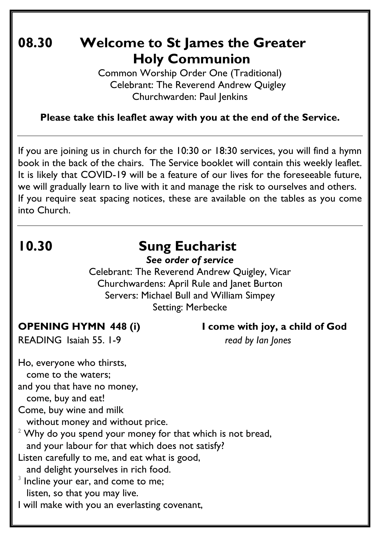## **08.30 Welcome to St James the Greater Holy Communion**

Common Worship Order One (Traditional) Celebrant: The Reverend Andrew Quigley Churchwarden: Paul Jenkins

**Please take this leaflet away with you at the end of the Service.**

If you are joining us in church for the 10:30 or 18:30 services, you will find a hymn book in the back of the chairs. The Service booklet will contain this weekly leaflet. It is likely that COVID-19 will be a feature of our lives for the foreseeable future, we will gradually learn to live with it and manage the risk to ourselves and others. If you require seat spacing notices, these are available on the tables as you come into Church.

# **10.30 Sung Eucharist**

*See order of service*

Celebrant: The Reverend Andrew Quigley, Vicar Churchwardens: April Rule and Janet Burton Servers: Michael Bull and William Simpey Setting: Merbecke

**OPENING HYMN 448 (i) I come with joy, a child of God**

READING Isaiah 55. 1-9 *read by Ian Jones*

Ho, everyone who thirsts, come to the waters; and you that have no money, come, buy and eat! Come, buy wine and milk without money and without price.  $2$  Why do you spend your money for that which is not bread, and your labour for that which does not satisfy? Listen carefully to me, and eat what is good, and delight yourselves in rich food.  $3$  Incline your ear, and come to me; listen, so that you may live. I will make with you an everlasting covenant,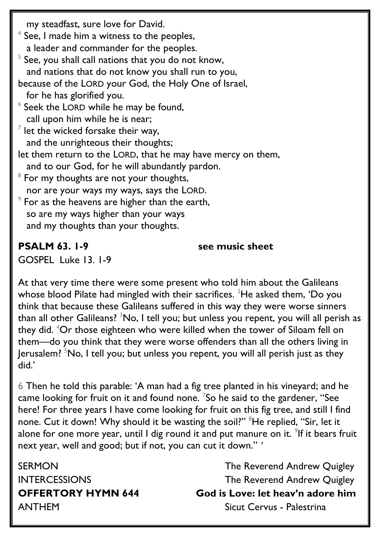my steadfast, sure love for David.  $^4$  See, I made him a witness to the peoples, a leader and commander for the peoples.  $5$  See, you shall call nations that you do not know, and nations that do not know you shall run to you, because of the LORD your God, the Holy One of Israel, for he has glorified you.  $6$  Seek the LORD while he may be found, call upon him while he is near;  $^7$  let the wicked forsake their way, and the unrighteous their thoughts; let them return to the LORD, that he may have mercy on them, and to our God, for he will abundantly pardon.  $8$  For my thoughts are not your thoughts, nor are your ways my ways, says the LORD.  $^\circ$  For as the heavens are higher than the earth, so are my ways higher than your ways and my thoughts than your thoughts.

**PSALM 63. 1-9 see music sheet**

GOSPEL Luke 13. 1-9

At that very time there were some present who told him about the Galileans whose blood Pilate had mingled with their sacrifices. <sup>2</sup>He asked them, 'Do you think that because these Galileans suffered in this way they were worse sinners than all other Galileans?  $3No$ , I tell you; but unless you repent, you will all perish as they did. <sup>4</sup>Or those eighteen who were killed when the tower of Siloam fell on them—do you think that they were worse offenders than all the others living in Jerusalem?  $5N\sigma$ , I tell you; but unless you repent, you will all perish just as they did.'

6 Then he told this parable: 'A man had a fig tree planted in his vineyard; and he came looking for fruit on it and found none. <sup>7</sup>So he said to the gardener, "See here! For three years I have come looking for fruit on this fig tree, and still I find none. Cut it down! Why should it be wasting the soil?" <sup>8</sup>He replied, "Sir, let it alone for one more year, until I dig round it and put manure on it.  $\degree$ If it bears fruit next year, well and good; but if not, you can cut it down." '

SERMON GERMON The Reverend Andrew Quigley INTERCESSIONS The Reverend Andrew Quigley **OFFERTORY HYMN 644 God is Love: let heav'n adore him** ANTHEMSicut Cervus - Palestrina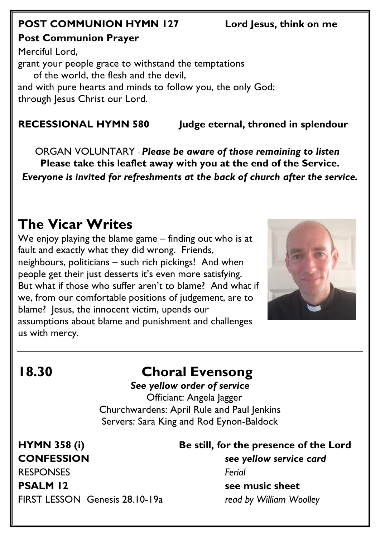## **POST COMMUNION HYMN 127 Lord Jesus, think on me**

**Post Communion Prayer** 

Merciful Lord, grant your people grace to withstand the temptations of the world, the flesh and the devil, and with pure hearts and minds to follow you, the only God; through Jesus Christ our Lord.

**RECESSIONAL HYMN 580 Judge eternal, throned in splendour**

 ORGAN VOLUNTARY - *Please be aware of those remaining to listen* **Please take this leaflet away with you at the end of the Service.**  *Everyone is invited for refreshments at the back of church after the service.*

# **The Vicar Writes**

We enjoy playing the blame game – finding out who is at fault and exactly what they did wrong. Friends, neighbours, politicians – such rich pickings! And when people get their just desserts it's even more satisfying. But what if those who suffer aren't to blame? And what if we, from our comfortable positions of judgement, are to blame? Jesus, the innocent victim, upends our assumptions about blame and punishment and challenges us with mercy.



# **18.30 Choral Evensong**

*See yellow order of service*

 Officiant: Angela Jagger Churchwardens: April Rule and Paul Jenkins Servers: Sara King and Rod Eynon-Baldock

**CONFESSION** *see yellow service card* RESPONSES *Ferial*

# **HYMN 358 (i) Be still, for the presence of the Lord**

**PSALM** 12 see music sheet

FIRST LESSON Genesis 28.10-19a *read by William Woolley*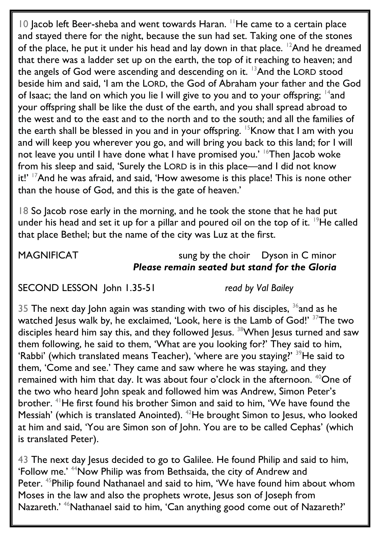10 Jacob left Beer-sheba and went towards Haran. <sup>11</sup>He came to a certain place and stayed there for the night, because the sun had set. Taking one of the stones of the place, he put it under his head and lay down in that place.  $12$ And he dreamed that there was a ladder set up on the earth, the top of it reaching to heaven; and the angels of God were ascending and descending on it.  $13$ And the LORD stood beside him and said, 'I am the LORD, the God of Abraham your father and the God of Isaac; the land on which you lie I will give to you and to your offspring;  $^{14}$ and your offspring shall be like the dust of the earth, and you shall spread abroad to the west and to the east and to the north and to the south; and all the families of the earth shall be blessed in you and in your offspring. <sup>15</sup>Know that I am with you and will keep you wherever you go, and will bring you back to this land; for I will not leave you until I have done what I have promised you.' <sup>16</sup>Then Jacob woke from his sleep and said, 'Surely the LORD is in this place—and I did not know it!' <sup>17</sup>And he was afraid, and said, 'How awesome is this place! This is none other than the house of God, and this is the gate of heaven.'

18 So Jacob rose early in the morning, and he took the stone that he had put under his head and set it up for a pillar and poured oil on the top of it.  $19$ He called that place Bethel; but the name of the city was Luz at the first.

MAGNIFICAT sung by the choir Dyson in C minor *Please remain seated but stand for the Gloria*

SECOND LESSON John 1.35-51 *read by Val Bailey*

35 The next day John again was standing with two of his disciples,  $36$  and as he watched Jesus walk by, he exclaimed, 'Look, here is the Lamb of God!' <sup>37</sup>The two disciples heard him say this, and they followed Jesus.<sup>38</sup>When Jesus turned and saw them following, he said to them, 'What are you looking for?' They said to him, 'Rabbi' (which translated means Teacher), 'where are you staying?' <sup>39</sup>He said to them, 'Come and see.' They came and saw where he was staying, and they remained with him that day. It was about four o'clock in the afternoon. <sup>40</sup>One of the two who heard John speak and followed him was Andrew, Simon Peter's brother. <sup>41</sup>He first found his brother Simon and said to him, 'We have found the Messiah' (which is translated Anointed). <sup>42</sup>He brought Simon to Jesus, who looked at him and said, 'You are Simon son of John. You are to be called Cephas' (which is translated Peter).

43 The next day Jesus decided to go to Galilee. He found Philip and said to him, 'Follow me.' <sup>44</sup>Now Philip was from Bethsaida, the city of Andrew and Peter. <sup>45</sup>Philip found Nathanael and said to him, 'We have found him about whom Moses in the law and also the prophets wrote, Jesus son of Joseph from Nazareth.' <sup>46</sup>Nathanael said to him, 'Can anything good come out of Nazareth?'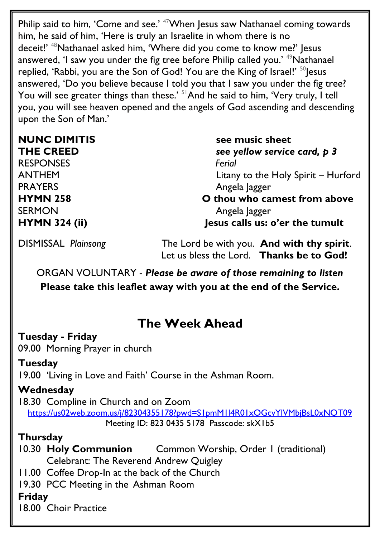Philip said to him, 'Come and see.' <sup>47</sup>When Jesus saw Nathanael coming towards him, he said of him, 'Here is truly an Israelite in whom there is no deceit!' <sup>48</sup>Nathanael asked him, 'Where did you come to know me?' Jesus answered, 'I saw you under the fig tree before Philip called you.' <sup>49</sup>Nathanael replied, 'Rabbi, you are the Son of God! You are the King of Israel!' <sup>50</sup> Jesus answered, 'Do you believe because I told you that I saw you under the fig tree? You will see greater things than these.' <sup>51</sup>And he said to him, 'Very truly, I tell you, you will see heaven opened and the angels of God ascending and descending upon the Son of Man.'

RESPONSES *Ferial*  PRAYERS **Angela** Jagger SERMON **Angela** Jagger

**NUNC DIMITIS** see music sheet **THE CREED** *see yellow service card, p 3* ANTHEM Litany to the Holy Spirit – Hurford **HYMN 258 O thou who camest from above**

**HYMN 324 (ii) Jesus calls us: o'er the tumult**

DISMISSAL *Plainsong* The Lord be with you. **And with thy spirit**. Let us bless the Lord. **Thanks be to God!**

ORGAN VOLUNTARY - *Please be aware of those remaining to listen* **Please take this leaflet away with you at the end of the Service.** 

## **The Week Ahead**

### **Tuesday - Friday**

09.00 Morning Prayer in church

#### **Tuesday**

19.00 'Living in Love and Faith' Course in the Ashman Room.

### **Wednesday**

18.30 Compline in Church and on Zoom <https://us02web.zoom.us/j/82304355178?pwd=S1pmM1l4R01xOGcvYlVMbjBsL0xNQT09> Meeting ID: 823 0435 5178 Passcode: skX1b5

#### **Thursday**

10.30 **Holy Communion** Common Worship, Order 1 (traditional) Celebrant: The Reverend Andrew Quigley

11.00 Coffee Drop-In at the back of the Church

19.30 PCC Meeting in the Ashman Room

## **Friday**

18.00 Choir Practice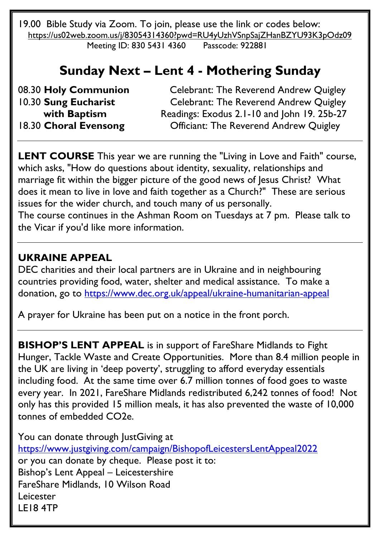19.00 Bible Study via Zoom. To join, please use the link or codes below: <https://us02web.zoom.us/j/83054314360?pwd=RU4yUzhVSnpSajZHanBZYU93K3pOdz09> Meeting ID: 830 5431 4360 Passcode: 922881

## **Sunday Next – Lent 4 - Mothering Sunday**

08.30 **Holy Communion** Celebrant: The Reverend Andrew Quigley 10.30 **Sung Eucharist** Celebrant: The Reverend Andrew Quigley with Baptism Readings: Exodus 2.1-10 and John 19. 25b-27 18.30 **Choral Evensong** Officiant: The Reverend Andrew Quigley

**LENT COURSE** This year we are running the "Living in Love and Faith" course, which asks, "How do questions about identity, sexuality, relationships and marriage fit within the bigger picture of the good news of Jesus Christ? What does it mean to live in love and faith together as a Church?" These are serious issues for the wider church, and touch many of us personally. The course continues in the Ashman Room on Tuesdays at 7 pm. Please talk to the Vicar if you'd like more information.

### **UKRAINE APPEAL**

DEC charities and their local partners are in Ukraine and in neighbouring countries providing food, water, shelter and medical assistance. To make a donation, go to<https://www.dec.org.uk/appeal/ukraine-humanitarian-appeal>

A prayer for Ukraine has been put on a notice in the front porch.

**BISHOP'S LENT APPEAL** is in support of FareShare Midlands to Fight Hunger, Tackle Waste and Create Opportunities. More than 8.4 million people in the UK are living in 'deep poverty', struggling to afford everyday essentials including food. At the same time over 6.7 million tonnes of food goes to waste every year. In 2021, FareShare Midlands redistributed 6,242 tonnes of food! Not only has this provided 15 million meals, it has also prevented the waste of 10,000 tonnes of embedded CO2e.

You can donate through JustGiving at <https://www.justgiving.com/campaign/BishopofLeicestersLentAppeal2022> or you can donate by cheque. Please post it to: Bishop's Lent Appeal – Leicestershire FareShare Midlands, 10 Wilson Road Leicester LE18 4TP